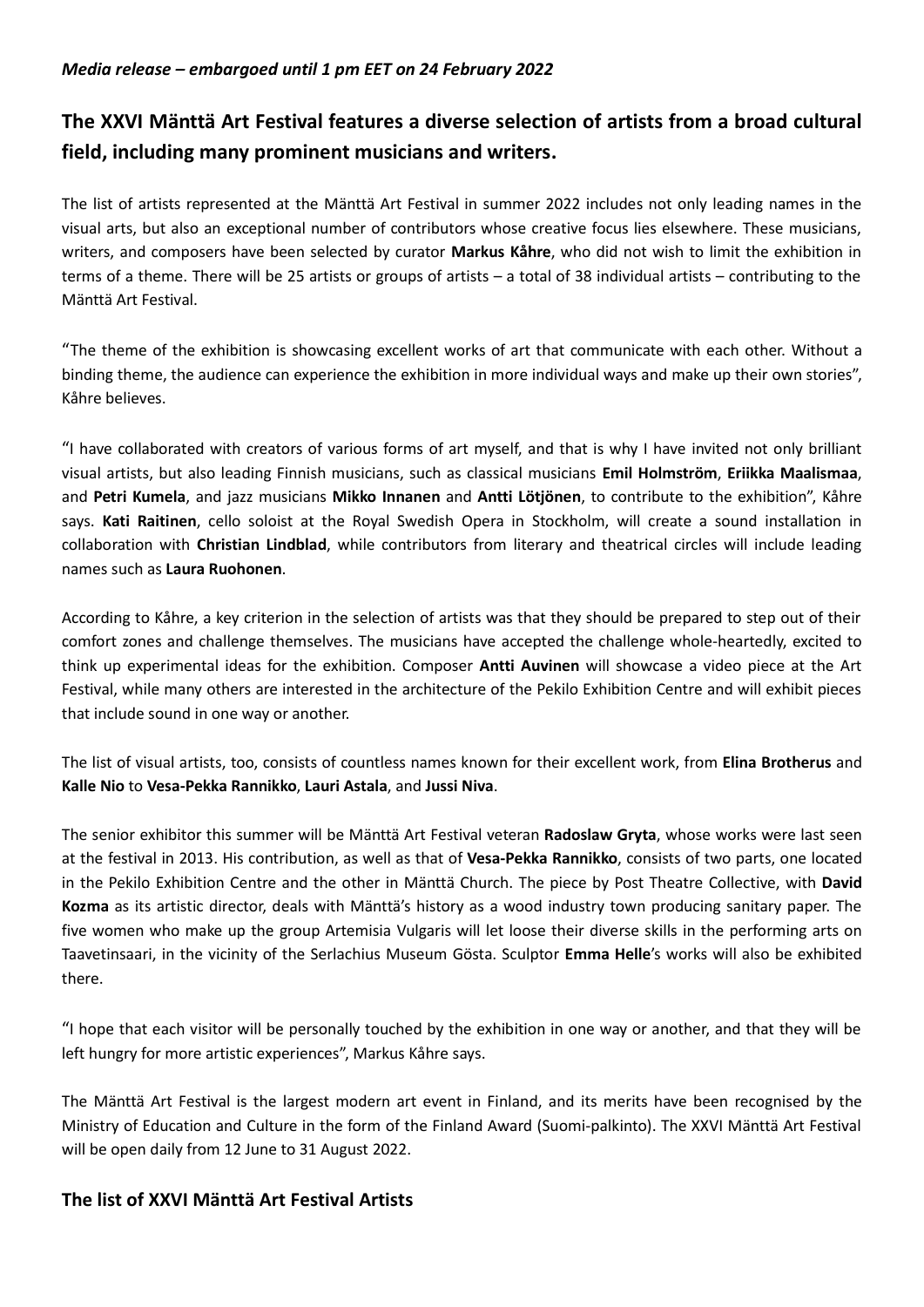## Media release – embargoed until 1 pm EET on 24 February 2022

## The XXVI Mänttä Art Festival features a diverse selection of artists from a broad cultural field, including many prominent musicians and writers.

The list of artists represented at the Mänttä Art Festival in summer 2022 includes not only leading names in the visual arts, but also an exceptional number of contributors whose creative focus lies elsewhere. These musicians, writers, and composers have been selected by curator Markus Kåhre, who did not wish to limit the exhibition in terms of a theme. There will be 25 artists or groups of artists – a total of 38 individual artists – contributing to the Mänttä Art Festival.

"The theme of the exhibition is showcasing excellent works of art that communicate with each other. Without a binding theme, the audience can experience the exhibition in more individual ways and make up their own stories", Kåhre believes.

"I have collaborated with creators of various forms of art myself, and that is why I have invited not only brilliant visual artists, but also leading Finnish musicians, such as classical musicians Emil Holmström, Eriikka Maalismaa, and Petri Kumela, and jazz musicians Mikko Innanen and Antti Lötjönen, to contribute to the exhibition", Kåhre says. Kati Raitinen, cello soloist at the Royal Swedish Opera in Stockholm, will create a sound installation in collaboration with Christian Lindblad, while contributors from literary and theatrical circles will include leading names such as Laura Ruohonen.

According to Kåhre, a key criterion in the selection of artists was that they should be prepared to step out of their comfort zones and challenge themselves. The musicians have accepted the challenge whole-heartedly, excited to think up experimental ideas for the exhibition. Composer Antti Auvinen will showcase a video piece at the Art Festival, while many others are interested in the architecture of the Pekilo Exhibition Centre and will exhibit pieces that include sound in one way or another.

The list of visual artists, too, consists of countless names known for their excellent work, from Elina Brotherus and Kalle Nio to Vesa-Pekka Rannikko, Lauri Astala, and Jussi Niva.

The senior exhibitor this summer will be Mänttä Art Festival veteran Radoslaw Gryta, whose works were last seen at the festival in 2013. His contribution, as well as that of Vesa-Pekka Rannikko, consists of two parts, one located in the Pekilo Exhibition Centre and the other in Mänttä Church. The piece by Post Theatre Collective, with David Kozma as its artistic director, deals with Mänttä's history as a wood industry town producing sanitary paper. The five women who make up the group Artemisia Vulgaris will let loose their diverse skills in the performing arts on Taavetinsaari, in the vicinity of the Serlachius Museum Gösta. Sculptor Emma Helle's works will also be exhibited there.

"I hope that each visitor will be personally touched by the exhibition in one way or another, and that they will be left hungry for more artistic experiences", Markus Kåhre says.

The Mänttä Art Festival is the largest modern art event in Finland, and its merits have been recognised by the Ministry of Education and Culture in the form of the Finland Award (Suomi-palkinto). The XXVI Mänttä Art Festival will be open daily from 12 June to 31 August 2022.

## The list of XXVI Mänttä Art Festival Artists